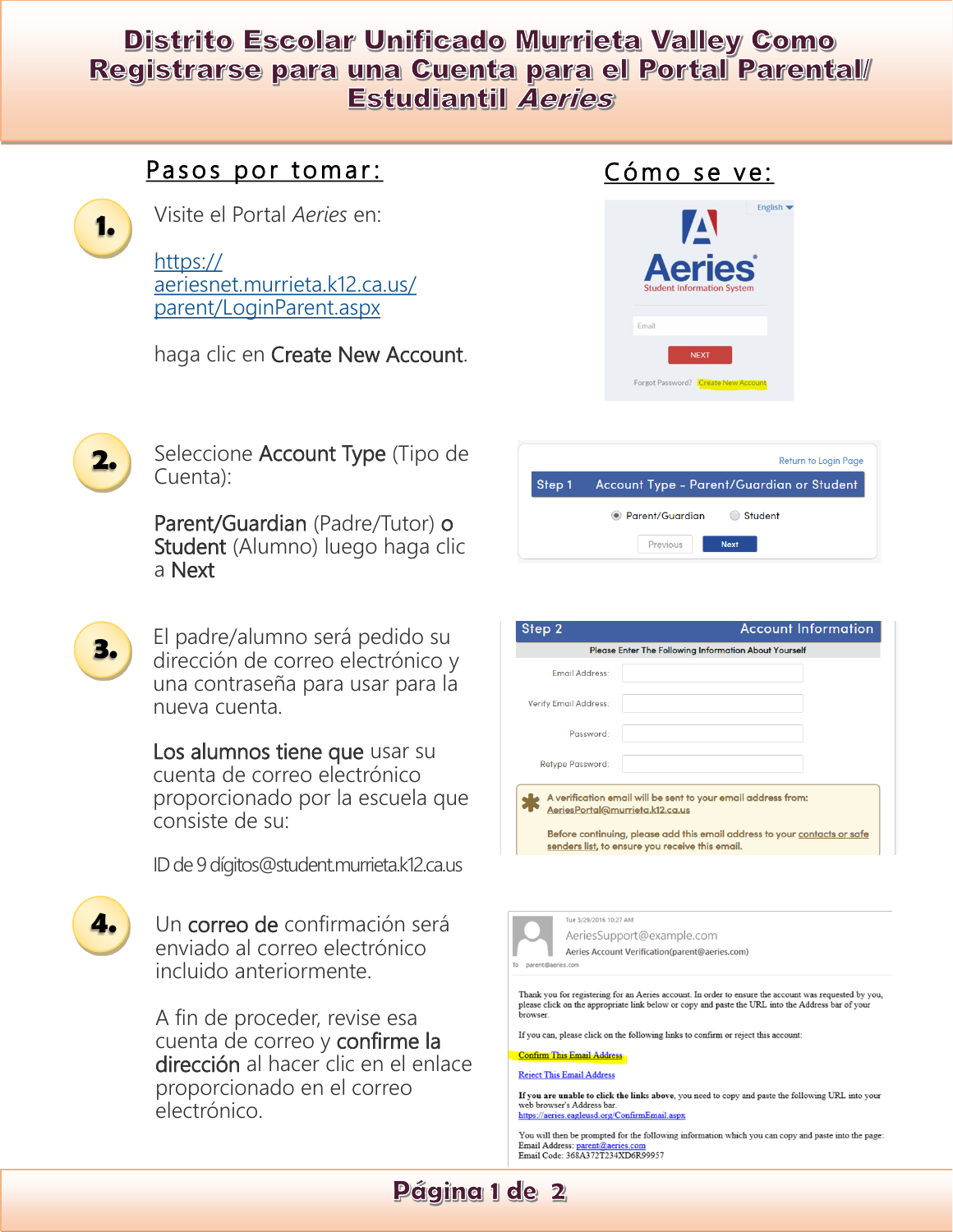# Distrito Escolar Unificado Murrieta Valley Como Registrarse para una Cuenta para el Portal Parental/ **Estudiantil Aeries**

## Pasos por tomar:



2.

З.

4.

Cuenta):

Visite el Portal Aeries en:

 $https://$ aeriesnet.murrieta.k12.ca.us/ parent/LoginParent.aspx

haga clic en Create New Account.

Seleccione Account Type (Tipo de

Parent/Guardian (Padre/Tutor) o Student (Alumno) luego haga clic



Cómo se ve:

|                                                  | <b>Return to Login Page</b> |
|--------------------------------------------------|-----------------------------|
| Step 1 Account Type - Parent/Guardian or Student |                             |
| • Parent/Guardian<br>Student                     |                             |

a Next El padre/alumno será pedido su

dirección de correo electrónico y una contraseña para usar para la nueva cuenta

Los alumnos tiene que usar su cuenta de correo electrónico proporcionado por la escuela que consiste de su:

ID de 9 dígitos@student.murrieta.k12.ca.us

Un correo de confirmación será enviado al correo electrónico incluido anteriormente.

A fin de proceder, revise esa cuenta de correo y confirme la dirección al hacer clic en el enlace proporcionado en el correo electrónico.

| Step 2                       | <b>Account Information</b>                                   |
|------------------------------|--------------------------------------------------------------|
|                              | <b>Please Enter The Following Information About Yourself</b> |
| <b>Email Address:</b>        |                                                              |
| <b>Verify Email Address:</b> |                                                              |
| Password:                    |                                                              |
| <b>Retype Password:</b>      |                                                              |



Tue 3/29/2016 10:27 AM AeriesSupport@example.com Aeries Account Verification(parent@aeries.com)

Thank you for registering for an Aeries account. In order to ensure the account was requested by you, please click on the appropriate link below or copy and paste the URL into the Address bar of your browser.

If you can, please click on the following links to confirm or reject this account

#### **Confirm This Email Address**

**Reject This Email Address** 

If you are unable to click the links above, you need to copy and paste the following URL into your web browser's Address bar. https://aeries.eagleusd.org/ConfirmEmail.aspx

You will then be prompted for the following information which you can copy and paste into the page. Email Address: parent@aeries.com<br>Email Code: 368A372T234XD6R99957